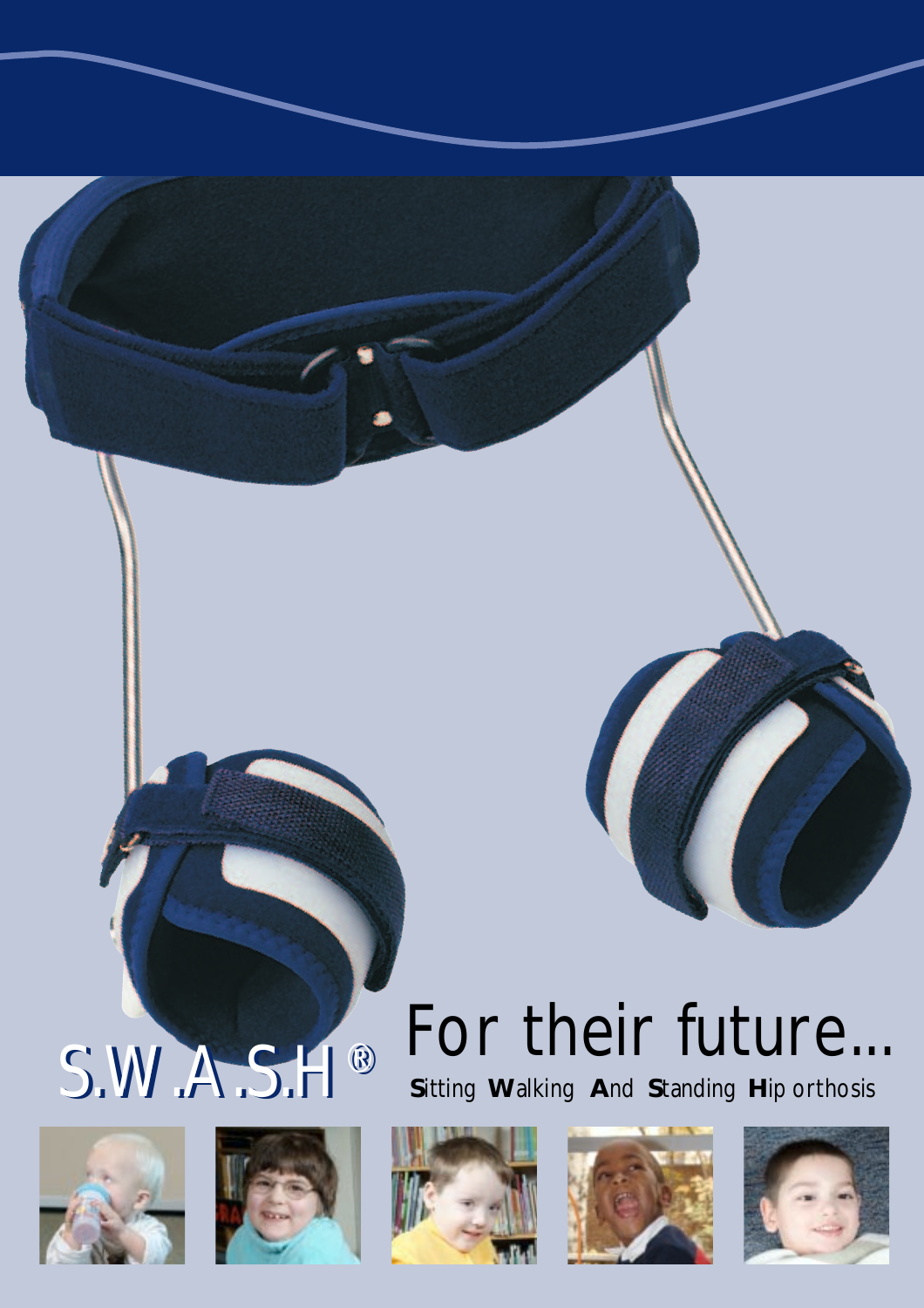# S.W.A.S.H®











## For their future...

Sitting Walking And Standing Hip orthosis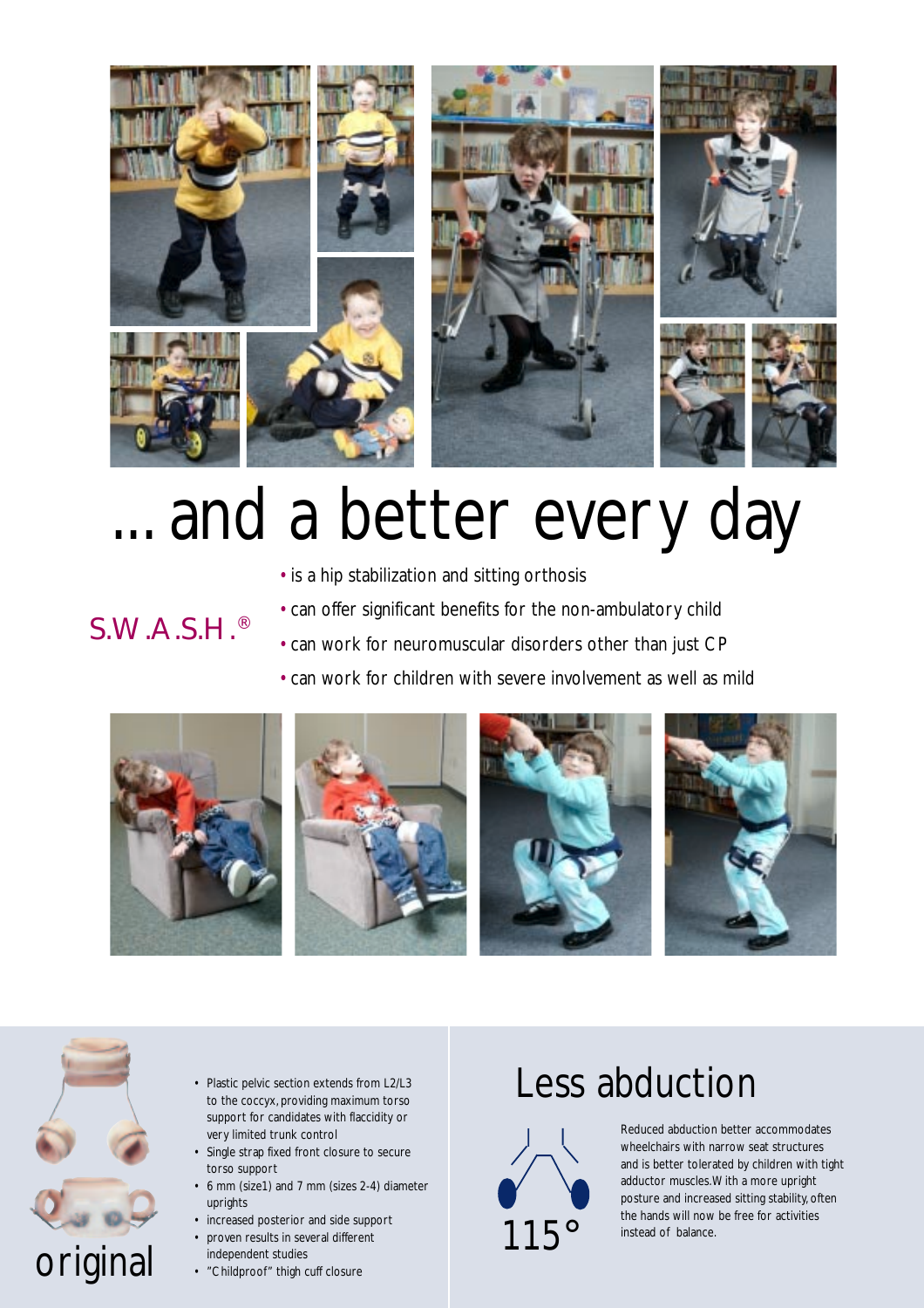

### ... and a better every day

• is a hip stabilization and sitting orthosis

#### S.W.A.S.H.®

- can offer significant benefits for the non-ambulatory child
- can work for neuromuscular disorders other than just CP
- can work for children with severe involvement as well as mild





- Plastic pelvic section extends from L2/L3 to the coccyx, providing maximum torso support for candidates with flaccidity or very limited trunk control
- Single strap fixed front closure to secure torso support
- 6 mm (size1) and 7 mm (sizes 2-4) diameter uprights
- increased posterior and side support
- proven results in several different independent studies
- "Childproof" thigh cuff closure

### Less abduction



Reduced abduction better accommodates wheelchairs with narrow seat structures and is better tolerated by children with tight adductor muscles. With a more upright posture and increased sitting stability, often the hands will now be free for activities instead of balance.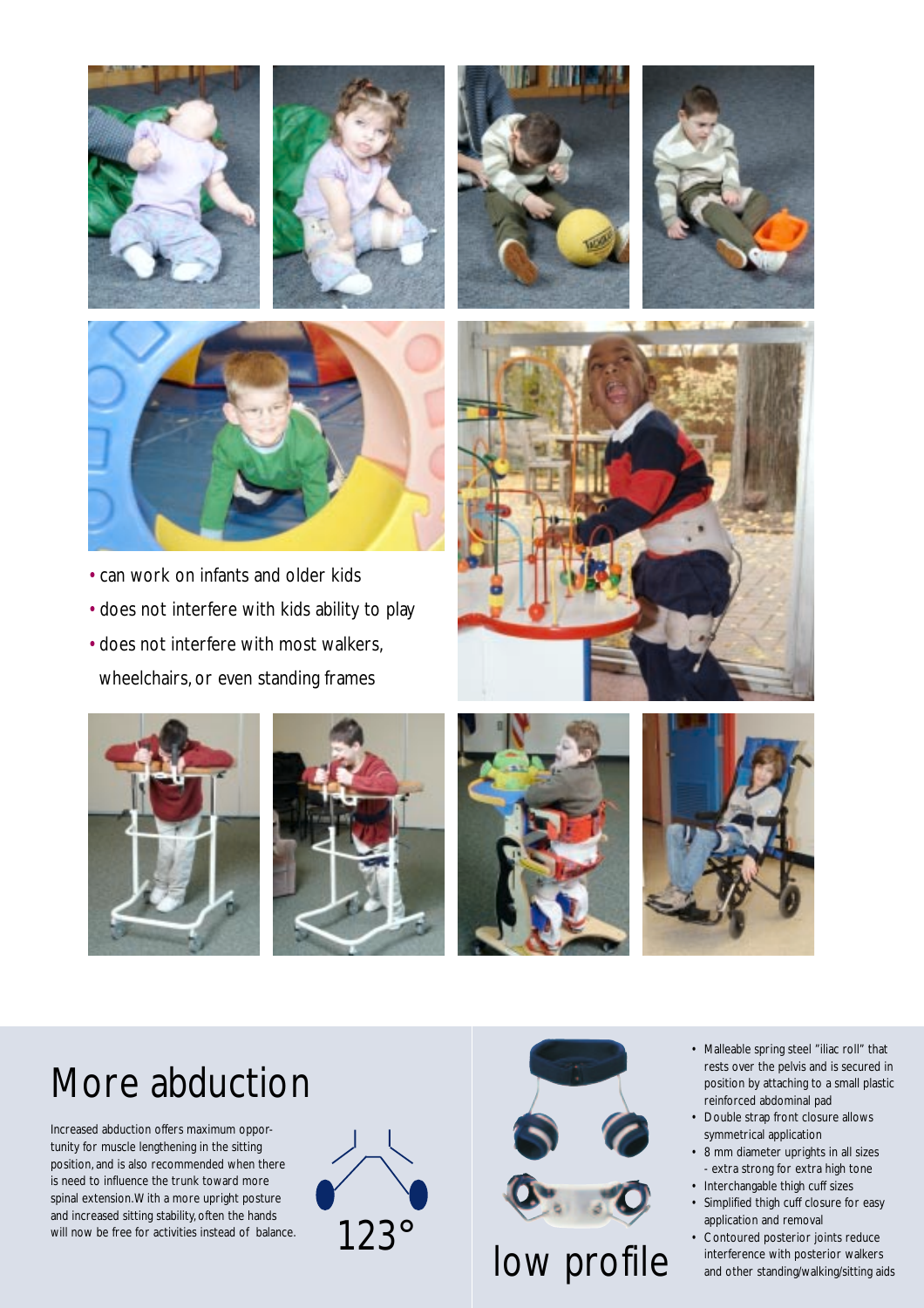









- can work on infants and older kids
- does not interfere with kids ability to play
- does not interfere with most walkers, wheelchairs, or even standing frames











### More abduction

Increased abduction offers maximum opportunity for muscle lengthening in the sitting position, and is also recommended when there is need to influence the trunk toward more spinal extension. With a more upright posture and increased sitting stability, often the hands will now be free for activities instead of balance. 123°





- Malleable spring steel "iliac roll" that rests over the pelvis and is secured in position by attaching to a small plastic reinforced abdominal pad
- Double strap front closure allows symmetrical application
- 8 mm diameter uprights in all sizes - extra strong for extra high tone
- Interchangable thigh cuff sizes
- Simplified thigh cuff closure for easy application and removal
- Contoured posterior joints reduce interference with posterior walkers and other standing/walking/sitting aids